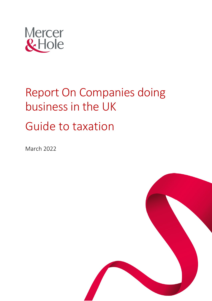

# Report On Companies doing business in the UK Guide to taxation

March 2022

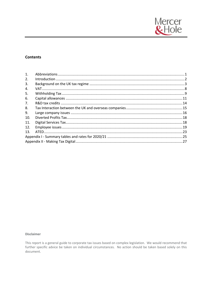

# **Contents**

| 1.  |  |
|-----|--|
| 2.  |  |
| 3.  |  |
| 4.  |  |
| 5.  |  |
| 6.  |  |
| 7.  |  |
| 8.  |  |
| 9.  |  |
| 10. |  |
| 11. |  |
| 12. |  |
| 13. |  |
|     |  |
|     |  |

# **Disclaimer**

This report is a general guide to corporate tax issues based on complex legislation. We would recommend that further specific advice be taken on individual circumstances. No action should be taken based solely on this document.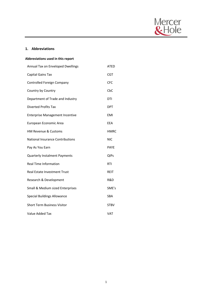

# **1. Abbreviations**

| Abbreviations used in this report      |             |  |  |
|----------------------------------------|-------------|--|--|
| Annual Tax on Enveloped Dwellings      | ATED        |  |  |
| Capital Gains Tax                      | CGT         |  |  |
| Controlled Foreign Company             | CFC         |  |  |
| Country by Country                     | CbC         |  |  |
| Department of Trade and Industry       | DTI         |  |  |
| Diverted Profits Tax                   | <b>DPT</b>  |  |  |
| <b>Enterprise Management Incentive</b> | <b>FMI</b>  |  |  |
| European Economic Area                 | <b>FFA</b>  |  |  |
| HM Revenue & Customs                   | <b>HMRC</b> |  |  |
|                                        |             |  |  |
| National Insurance Contributions       | NIC         |  |  |
| Pay As You Earn                        | <b>PAYE</b> |  |  |
| Quarterly Instalment Payments          | QIPs        |  |  |
| <b>Real Time Information</b>           | <b>RTI</b>  |  |  |
| <b>Real Estate Investment Trust</b>    | <b>REIT</b> |  |  |
| Research & Development                 | R&D         |  |  |
| Small & Medium sized Enterprises       | SME's       |  |  |
| <b>Special Buildings Allowance</b>     | <b>SBA</b>  |  |  |
| <b>Short Term Business Visitor</b>     | <b>STBV</b> |  |  |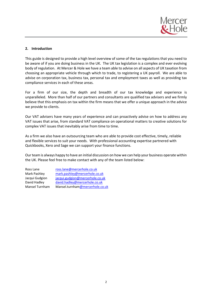

# **2. Introduction**

This guide is designed to provide a high level overview of some of the tax regulations that you need to be aware of if you are doing business in the UK. The UK tax legislation is a complex and ever evolving body of regulation. At Mercer & Hole we have a team able to advise on all aspects of UK taxation from choosing an appropriate vehicle through which to trade, to registering a UK payroll. We are able to advise on corporation tax, business tax, personal tax and employment taxes as well as providing tax compliance services in each of these areas.

For a firm of our size, the depth and breadth of our tax knowledge and experience is unparalleled. More than half of our partners and consultants are qualified tax advisers and we firmly believe that this emphasis on tax within the firm means that we offer a unique approach in the advice we provide to clients.

Our VAT advisers have many years of experience and can proactively advise on how to address any VAT issues that arise, from standard VAT compliance on operational matters to creative solutions for complex VAT issues that inevitably arise from time to time.

As a firm we also have an outsourcing team who are able to provide cost effective, timely, reliable and flexible services to suit your needs. With professional accounting expertise partnered with Quickbooks, Xero and Sage we can support your finance functions.

Our team is always happy to have an initial discussion on how we can help your business operate within the UK. Please feel free to make contact with any of the team listed below:

| Ross Lane      | ross.lane@mercerhole.co.uk      |
|----------------|---------------------------------|
| Mark Pashley   | mark.pashley@mercerhole.co.uk   |
| Jacqui Gudgion | jacqui.gudgion@mercerhole.co.uk |
| David Hadley   | david.hadley@mercerhole.co.uk   |
| Mansel Turnham | Mansel.turnham@mercerhole.co.uk |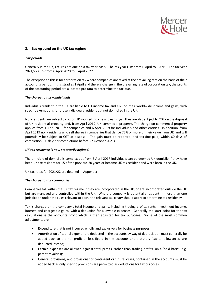

# **3. Background on the UK tax regime**

## *Tax periods*

Generally in the UK, returns are due on a tax year basis. The tax year runs from 6 April to 5 April. The tax year 2021/22 runs from 6 April 2020 to 5 April 2022.

The exception to this is for corporation tax where companies are taxed at the prevailing rate on the basis of their accounting period. If this stradles 1 April and there is change in the prevailing rate of corporation tax, the profits of the accounting period are allocated pro rata to determine the tax due.

## *The charge to tax – individuals*

Individuals resident in the UK are liable to UK income tax and CGT on their worldwide income and gains, with specific exemptions for those individuals resident but not domiciled in the UK.

Non-residents are subject to tax on UK sourced income and earnings. They are also subject to CGT on the disposal of UK residential property and, from April 2019, UK commecial property. The charge on commercial property applies from 1 April 2019 for companies and 6 April 2019 for individuals and other entities. In addition, from April 2019 non-residents who sell shares in companies that derive 75% or more of their value from UK land will potentially be subject to CGT at disposal. The gain must be reported, and tax due paid, within 60 days of completion (30 days for completions before 27 October 2021).

## *UK tax residence is now statutorily defined.*

The principle of domicile is complex but from 6 April 2017 individuals can be deemed UK domicile if they have been UK tax resident for 15 of the previous 20 years or become UK tax resident and were born in the UK.

UK tax rates for 2021/22 are detailed in Appendix I.

## *The charge to tax - companies*

Companies fall within the UK tax regime if they are incorporated in the UK, or are incorporated outside the UK but are managed and controlled within the UK. Where a company is potentially resident in more than one jurisdiction under the rules relevant to each, the relevant tax treaty should apply to determine tax residency.

Tax is charged on the company's total income and gains, including trading profits, rents, investment income, interest and chargeable gains, with a deduction for allowable expenses. Generally the start point for the tax calculations is the accounts profit which is then adjusted for tax purposes. Some of the most common adjustments are:-

- Expenditure that is not incurred wholly and exclusively for business purposes;
- Amortisation of capital expenditure deducted in the accounts by way of depreciation must generally be added back to the net profit or loss figure in the accounts and statutory 'capital allowances' are deducted instead;
- Certain expenses are allowed against total profits, rather than trading profits, on a 'paid basis' (e.g. patent royalties);
- General provisions, and provisions for contingent or future losses, contained in the accounts must be added back as only specific provisions are permitted as deductions for tax purposes.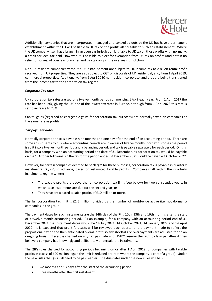

Additionally, companies that are incorporated, managed and controlled outside the UK but have a permanent establishment within the UK will be liable to UK tax on the profits attributable to such an establishment. Where the UK company itself has a branch in an overseas jurisdiction it is liable to UK tax on those profits with, normally, a credit for local tax paid. However, it is possible to elect for exemption from UK tax on profits (and obtain no relief for losses) of overseas branches and pay tax only in the overseas jurisdiction.

Non-UK resident companies without a UK establishment are subject to UK income tax at 20% on rental profit received from UK properties. They are also subject to CGT on disposals of UK residential, and, from 1 April 2019, commercial properties. Additionally, from 6 April 2020 non-resident corporate landlords are being transitioned from the income tax to the corporation tax regime.

# *Corporate Tax rates*

UK corporation tax rates are set for a twelve month period commencing 1 April each year. From 1 April 2017 the rate has been 19%, giving the UK one of the lowest tax rates in Europe, although from 1 April 2023 this rate is set to increase to 25%.

Capital gains (regarded as chargeable gains for corporation tax purposes) are normally taxed on companies at the same rate as profits.

# *Tax payment dates*

Normally corporation tax is payable nine months and one day after the end of an accounting period. There are some adjustments to this where accounting periods are in excess of twelve months; for tax purposes the period is split into a twelve month period and a balancing period, and tax is payable separately for each period. On this basis, for a company with an accounting period end date of 31 December, its corporation tax would be payable on the 1 October following, so the tax for the period ended 31 December 2021 would be payable 1 October 2022.

However, for certain companies deemed to be 'large' for these purposes, corporation tax is payable in quarterly instalments ("QIPs") in advance, based on estimated taxable profits. Companies fall within the quarterly instalments regime where:-

- The taxable profits are above the full corporation tax limit (see below) for two consecutive years; in which case instalments are due for the second year; or
- They have anticipated taxable profits of £10 million or more.

The full corporation tax limit is £1.5 million; divided by the number of world-wide active (i.e. not dormant) companies in the group.

The payment dates for such instalments are the 14th day of the 7th, 10th, 13th and 16th months after the start of a twelve month accounting period. As an example, for a company with an accounting period end of 31 December 2021 the instalment dates would be 14 July 2021, 14 October 2021, 14 January 2022 and 14 April 2022. It is expected that profit forecasts will be reviewed each quarter and a payment made to reflect the proportional tax on the then anticipated overall profit so any shortfalls or overpayments are adjusted for on an on-going basis. Interest is charged on any tax paid late and HMRC reserve the right to levy penalties if they believe a company has knowingly and deliberately underpaid the instalments.

The QIPs rules changed for accounting periods beginning on or after 1 April 2019 for companies with taxable profits in excess of £20 million (again the limit is reduced pro-rata where the company is part of a group). Under the new rules the QIPs will need to be paid earlier. The due dates under the new rules will be:-

- Two months and 13 days after the start of the accounting period;
- Three months after the first instalment;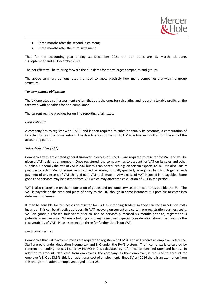

- Three months after the second instalment;
- Three months after the third instalment.

Thus for the accounting year ending 31 December 2021 the due dates are 13 March, 13 June, 13 September and 13 December 2021.

The net effect will be to bring forward the due dates for many larger companies and groups.

The above summary demonstrates the need to know precisely how many companies are within a group structure.

## *Tax compliance obligations*

The UK operates a self-assessment system that puts the onus for calculating and reporting taxable profits on the taxpayer, with penalties for non-compliance.

The current regime provides for on-line reporting of all taxes.

## *Corporation tax*

A company has to register with HMRC and is then required to submit annually its accounts, a computation of taxable profits and a formal return. The deadline for submission to HMRC is twelve months from the end of the accounting period.

# *Value Added Tax (VAT)*

Companies with anticipated general turnover in excess of £85,000 are required to register for VAT and will be given a VAT registration number. Once registered, the company has to account for VAT on its sales and other supplies. Generally the rate of VAT is 20% but this can be reduced e.g. on certain exports, to 0%. It is also usually possible to reclaim VAT on some costs incurred. A return, normally quarterly, is required by HMRC together with payment of any excess of VAT charged over VAT reclaimable. Any excess of VAT incurred is repayable. Some goods and services may be exempt from VAT which may affect the calculation of VAT in the period.

VAT is also chargeable on the importation of goods and on some services from countries outside the EU. The VAT is payable at the time and place of entry to the UK, though in some instances it is possible to enter into deferment schemes.

It may be sensible for businesses to register for VAT as intending traders so they can reclaim VAT on costs incurred. This can be attractive as it permits VAT recovery on current and certain pre-registration business costs. VAT on goods purchased four years prior to, and on services purchased six months prior to, registration is potentially recoverable. Where a holding company is involved, special consideration should be given to the recoverability of VAT. Please see section three for further details on VAT.

## *Employment issues*

Companies that will have employees are required to register with HMRC and will receive an employer reference. Staff are paid under deduction income tax and NIC under the PAYE system. The income tax is calculated by reference to coding notices issued by HMRC; NIC is calculated by reference to specified rates and bands. In addition to amounts deducted from employees, the company, as their employer, is required to account for employer's NIC at 13.8%; this is an additional cost of employment. Since 6 April 2016 there is an exemption from this charge in relation to employees aged under 25.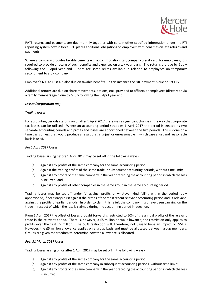

PAYE returns and payments are due monthly together with certain other specified information under the RTI reporting system now in force. RTI places additional obligations on employers with penalties on late returns and payments.

Where a company provides taxable benefits e.g. accommodation, car, company credit card, for employees, it is required to provide a return of such benefits and expenses on a tax year basis. The returns are due by 6 July following the 5 April year end. There are some reliefs available in relation to employees on temporary secondment to a UK company.

Employer's NIC at 13.8% is also due on taxable benefits. In this instance the NIC payment is due on 19 July.

Additional returns are due on share movements, options, etc., provided to officers or employees (directly or via a family member) again due by 6 July following the 5 April year end.

## *Losses (corporation tax)*

## *Trading losses*

For accounting periods starting on or after 1 April 2017 there was a significant change in the way that corporate tax losses can be utilised. Where an accounting period straddles 1 April 2017 the period is treated as two separate accounting periods and profits and losses are apportioned between the two periods. This is done on a time basis unless that would produce a result that is unjust or unreasonable in which case a just and reasonable basis is used.

# *Pre 1 April 2017 losses*

Trading losses arising before 1 April 2017 may be set off in the following ways:-

- (a) Against any profits of the same company for the same accounting period;
- (b) Against the trading profits of the same trade in subsequent accounting periods, without time limit;
- (c) Against any profits of the same company in the year preceding the accounting period in which the loss is incurred; and
- (d) Against any profits of other companies in the same group in the same accounting period.

Trading losses may be set off under (c) against profits of whatever kind falling within the period (duly apportioned, if necessary), first against the profits of the most recent relevant accounting period and, if relevant, against the profits of earlier periods. In order to claim this relief, the company must have been carrying on the trade in respect of which the loss is claimed during the accounting period in question.

From 1 April 2017 the offset of losses brought forward is restricted to 50% of the annual profits of the relevant trade in the relevant period. There is, however, a £5 million annual allowance; the restriction only applies to profits over the first £5 million. The 50% restriction will, therefore, not usually have an impact on SMEs. However, the £5 million allowance applies on a group basis and must be allocated between group members. Groups are given the freedom to determine how the allowance is allocated.

# *Post 31 March 2017 losses*

Trading losses arising on or after 1 April 2017 may be set off in the following ways:-

- (a) Against any profits of the same company for the same accounting period;
- (b) Against any profits of the same company in subsequent accounting periods, without time limit;
- (c) Against any profits of the same company in the year preceding the accounting period in which the loss is incurred;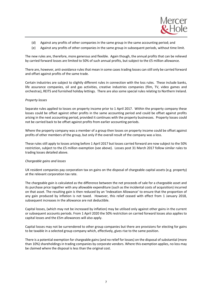

- (d) Against any profits of other companies in the same group in the same accounting period; and
- (e) Against any profits of other companies in the same group in subsequent periods, without time limit.

The new rules are, therefore, more generous and flexible. Again though, the annual profits that can be relieved by carried forward losses are limited to 50% of such annual profits, but subject to the £5 million allowance.

There are, however, anti-avoidance rules that mean in some cases trading losses can still only be carried forward and offset against profits of the same trade.

Certain industries are subject to slightly different rules in connection with the loss rules. These include banks, life assurance companies, oil and gas activities, creative industries companies (film, TV, video games and orchestras), REITS and furnished holiday lettings. There are also some special rules relating to Northern Ireland.

# *Property losses*

Separate rules applied to losses on property income prior to 1 April 2017. Within the property company these losses could be offset against other profits in the same accounting period and could be offset against profits arising in the next accounting period, provided it continues with the property businesses. Property losses could not be carried back to be offset against profits from earlier accounting periods.

Where the property company was a member of a group then losses on property income could be offset against profits of other members of the group, but only if the overall result of the company was a loss.

These rules still apply to losses arising before 1 April 2017 but losses carried forward are now subject to the 50% restriction, subject to the £5 million exemption (see above). Losses post 31 March 2017 follow similar rules to trading losses detailed above.

## *Chargeable gains and losses*

UK resident companies pay corporation tax on gains on the disposal of chargeable capital assets (e.g. property) at the relevant corporation tax rate.

The chargeable gain is calculated as the difference between the net proceeds of sale for a chargeable asset and its purchase price together with any allowable expenditure (such as the incidental costs of acquisition) incurred on that asset. The resulting gain is then reduced by an 'Indexation Allowance' to ensure that the proportion of any gain produced by inflation is not taxed. However, this relief ceased with effect from 1 January 2018, subsequent increases in the allowance are not deductible.

Capital losses, (which may not be increased by inflation) may be utilised only against other gains in the current or subsequent accounts periods. From 1 April 2020 the 50% restriction on carried forward losses also applies to capital losses and the £5m allowances will also apply.

Capital losses may not be surrendered to other group companies but there are provisions for electing for gains to be taxable in a selected group company which, effectively, gives rise to the same position.

There is a potential exemption for chargeable gains (and no relief for losses) on the disposal of substantial (more than 10%) shareholdings in trading companies by corporate vendors. Where this exemption applies, no loss may be claimed where the disposal is less than the original cost.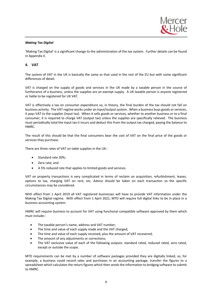## *Making Tax Digital*

'Making Tax Digital' is a significant change to the administration of the tax system. Further details can be found in Appendix II.

# **4. VAT**

The system of VAT in the UK is basically the same as that used in the rest of the EU but with some significant differences of detail.

VAT is charged on the supply of goods and services in the UK made by a taxable person in the course of furtherance of a business, unless the supplies are an exempt supply. A UK taxable person is anyone registered or liable to be registered for UK VAT.

VAT is effectively a tax on consumer expenditure so, in theory, the final burden of the tax should not fall on business activity. The VAT regime works under an input/output system. When a business buys goods orservices, it pays VAT to the supplier (input tax). When it sells goods or services, whether to another business or to a final consumer, it is required to charge VAT (output tax) unless the supplies are specifically relieved. The business must periodically total the input tax it incurs and deduct this from the output tax charged, paying the balance to HMRC.

The result of this should be that the final consumers bear the cost of VAT on the final price of the goods or services they purchase.

There are three rates of VAT on table supplies in the UK:-

- Standard rate 20%;
- Zero rate; and
- A 5% reduced rate that applies to limited goods and services.

VAT on property transactions is very complicated in terms of reclaim on acquisition, refurbishment, leases, options to tax, charging VAT on rent, etc. Advice should be taken on each transaction so the specific circumstances may be considered.

With effect from 1 April 2019 all VAT registered businesses will have to provide VAT information under the Making Tax Digital regime. With effect from 1 April 2021, MTD will require full digital links to be in place in a business accounting system.

HMRC will require business to account for VAT using functional compatible software approved by them which must include:-

- The taxable person's name, address and VAT number;
- The time and value of each supply made and the VAT charged;
- The time and value of each supply received, plus the amount of VAT recovered;
- The amount of any adjustments or corrections;
- The VAT exclusive value of each of the following outputs: standard rated, reduced rated, zero rated, except or outside the scope.

MTD requirements can be met by a number of software packages provided they are digitally linked, so, for example, a business could record sales and purchases in an accounting package, transfer the figures to a spreadsheet which calculates the return figures which then sends the information to bridging software to submit to HMRC.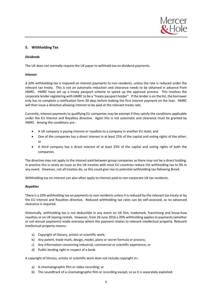

# **5. Withholding Tax**

## *Dividends*

The UK does not normally require the UK payer to withhold tax on dividend payments.

## *Interest*

A 20% withholding tax is imposed on interest payments to non-residents, unless the rate is reduced under the relevant tax treaty. This is not an automatic reduction and clearance needs to be obtained in advance from HMRC. HMRC have set up a treaty passport scheme to speed up the approval process. This involves the corporate lender registering with HMRC to be a "treaty passport holder". If the lender is on the list, the borrower only has to complete a notification form 30 days before making the first interest payment on the loan. HMRC will then issue a directive allowing interest to be paid at the relevant treaty rate.

Currently, interest payments to qualifying EU companies may be exempt if they satisfy the conditions applicable under the EU Interest and Royalties directive. Again this is not automatic and clearance must be granted by HMRC. Among the conditions are:-

- A UK company is paying interest or royalties to a company in another EU state; and
- One of the companies has a direct interest in at least 25% of the capital and voting rights of the other; or
- A third company has a direct interest of at least 25% of the capital and voting rights of both the companies.

The directive may not apply to the interest paid between group companies as there may not be a direct holding. In practice this is rarely an issue as the UK treaties with most EU countries reduce the withholding tax to 0% in any event. However, not all treaties do, so this could give rise to potential withholding tax following Brexit.

Withholding tax on interest can also often apply to interest paid to non-corporate UK tax residents.

# *Royalties*

There is a 20% withholding tax on payments to non-residents unless it is reduced by the relevant tax treaty or by the EU Interest and Royalties directive. Reduced withholding tax rates can be self-assessed, as no advanced clearance is required.

Historically, withholding tax is not deductible in any event on UK film, trademark, franchising and know-how royalties or on UK leasing rentals. However, from 26 June 2016 a 20% withholding applies to payments (whether or not annual payments) made overseas where the payment relates to relevant intellectual property. Relevant intellectual property means:-

- a) Copyright of literary, artistic or scientific work;
- b) Any patent, trade mark, design, model, plans or secret formula or process;
- c) Any information concerning industrial, commercial or scientific experience; or
- d) Public lending right in respect of a book.

A copyright of literary, artistic or scientific work does not include copyright in:-

- a) A cinematographic film or video recording; or
- b) The soundtrack of a cinematographic film or recording except, so as it is separately exploited.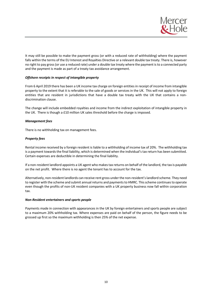

It may still be possible to make the payment gross (or with a reduced rate of withholding) where the payment falls within the terms of the EU Interest and Royalties Directive or a relevant double tax treaty. There is, however no right to pay gross (or use a reduced rate) under a double tax treaty where the payment is to a connected party and the payment is made as part of a treaty tax avoidance arrangement.

# *Offshore receipts in respect of intangible property*

From 6 April 2019 there has been a UK income tax charge on foreign entities in receipt of income from intangible property to the extent that it is referable to the sale of goods or services in the UK. This will not apply to foreign entities that are resident in jurisdictions that have a double tax treaty with the UK that contains a nondiscrimination clause.

The change will include embedded royalties and income from the indirect exploitation of intangible property in the UK. There is though a £10 million UK sales threshold before the charge is imposed.

## *Management fees*

There is no withholding tax on management fees.

# *Property fees*

Rental income received by a foreign resident is liable to a withholding of income tax of 20%. The withholding tax is a payment towards the final liability, which is determined when the individual's tax return has been submitted. Certain expenses are deductible in determining the final liability.

If a non-resident landlord appoints a UK agent who makes tax returns on behalf of the landlord, the tax is payable on the net profit. Where there is no agent the tenant has to account for the tax.

Alternatively, non-resident landlords can receive rent gross under the non-resident's landlord scheme. They need to register with the scheme and submit annual returns and payments to HMRC. This scheme continues to operate even though the profits of non-UK resident companies with a UK property business now fall within corporation tax.

## *Non-Resident entertainers and sports people*

Payments made in connection with appearances in the UK by foreign entertainers and sports people are subject to a maximum 20% withholding tax. Where expenses are paid on behalf of the person, the figure needs to be grossed up first so the maximum withholding is then 25% of the net expense.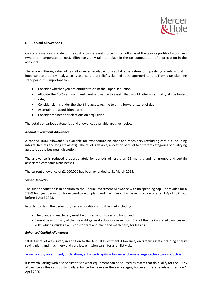

# **6. Capital allowances**

Capital allowances provide for the cost of capital assets to be written off against the taxable profits of a business (whether incorporated or not). Effectively they take the place in the tax computation of depreciation in the accounts.

There are differing rates of tax allowances available for capital expenditure on qualifying assets and it is important to properly analyse costs to ensure that relief is claimed at the appropriate rate. From a tax planning standpoint, it is important to:-

- Consider whether you are entitled to claim the Super Deduction
- Allocate the 100% annual investment allowance to assets that would otherwise qualify at the lowest rate;
- Consider claims under the short life assets regime to bring forward tax relief due;
- Ascertain the acquisition date;
- Consider the need for elections on acquisition.

The details of various categories and allowances available are given below.

## *Annual Investment Allowance*

A capped 100% allowance is available for expenditure on plant and machinery (excluding cars but including integral fixtures and long life assets). The relief is flexible; allocation of relief to different categories of qualifying assets is at the business' discretion.

The allowance is reduced proportionately for periods of less than 12 months and for groups and certain associated companies/businesses.

The current allowance of £1,000,000 has been extended to 31 March 2023.

# *Super Deduction*

The super deduction is in addition to the Annual Investment Allowance with no spending cap. It provides for a 130% first year deduction for expenditure on plant and machinery which is incurred on or after 1 April 2021 but before 1 April 2023.

In order to claim the deduction, certain conditions must be met including:

- The plant and machinery must be unused and nto second hand, and
- Cannot be within any of the the eight general exlcusions in section 46(2) of the the Capital Allowances Act 2001 which includes exclusions for cars and plant and machinerty for leasing.

# *Enhanced Capital Allowances*

100% tax relief was given, in addition to the Annual Investment Allowance, on 'green' assets including energy saving plant and machinery and very low emission cars - for a full list visit:-

# www.gov.uk/government/publications/enhanced-capital-allowance-scheme-energy-technology-product-list.

It is worth liaising with a specialist to see what equipment can be sourced as assets that do qualify for the 100% allowance as this can substantially enhance tax reliefs in the early stages, however, these reliefs expired on 1 April 2020.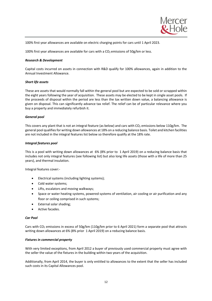

100% first year allowances are available on electric charging points for cars until 1 April 2023.

100% first year allowances are available for cars with a  $CO<sub>2</sub>$  emissions of 50g/km or less.

## *Research & Development*

Capital costs incurred on assets in connection with R&D qualify for 100% allowances, again in addition to the Annual Investment Allowance.

## *Short life assets*

These are assets that would normally fall within the general pool but are expected to be sold or scrapped within the eight years following the year of acquisition. These assets may be elected to be kept in single asset pools. If the proceeds of disposal within the period are less than the tax written down value, a balancing allowance is given on disposal. This can significantly advance tax relief. The relief can be of particular relevance where you buy a property and immediately refurbish it.

## *General pool*

This covers any plant that is not an integral feature (as below) and cars with  $CO<sub>2</sub>$  emissions below 110g/km. The general pool qualifies for writing down allowances at 18% on a reducing balance basis. Toilet and kitchen facilities are not included in the integral features list below so therefore qualify at the 18% rate.

## *Integral features pool*

This is a pool with writing down allowances at 6% (8% prior to 1 April 2019) on a reducing balance basis that includes not only integral features (see following list) but also long life assets (those with a life of more than 25 years), and thermal insulation.

Integral features cover:-

- Electrical systems (including lighting systems);
- Cold water systems;
- Lifts, escalators and moving walkways;
- Space or water heating systems, powered systems of ventilation, air cooling or air purification and any floor or ceiling comprised in such systems;
- External solar shading;
- Active facades.

## *Car Pool*

Cars with CO<sub>2</sub> emissions in excess of 50g/km (110g/km prior to 6 April 2021) form a separate pool that attracts writing down allowances at 6% (8% prior 1 April 2019) on a reducing balance basis.

## *Fixtures in commercial property*

With very limited exceptions, from April 2012 a buyer of previously used commercial property must agree with the seller the value of the fixtures in the building within two years of the acquisition.

Additionally, from April 2014, the buyer is only entitled to allowances to the extent that the seller has included such costs in its Capital Allowances pool.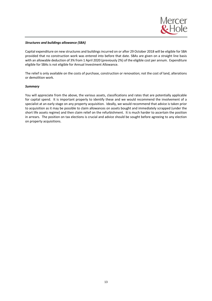## *Structures and buildings allowance (SBA)*

Capital expenditure on new structures and buildings incurred on or after 29 October 2018 will be eligible for SBA provided that no construction work was entered into before that date. SBAs are given on a straight line basis with an allowable deduction of 3% from 1 April 2020 (previously 2%) of the eligible cost per annum. Expenditure eligible for SBAs is not eligible for Annual Investment Allowance.

The relief is only available on the costs of purchase, construction or renovation; not the cost of land, alterations or demolition work.

## *Summary*

You will appreciate from the above, the various assets, classifications and rates that are potentially applicable for capital spend. It is important properly to identify these and we would recommend the involvement of a specialist at an early stage on any property acquisition. Ideally, we would recommend that advice is taken prior to acquisition as it may be possible to claim allowances on assets bought and immediately scrapped (under the short life assets regime) and then claim relief on the refurbishment. It is much harder to ascertain the position in arrears. The position on tax elections is crucial and advice should be sought before agreeing to any election on property acquisitions.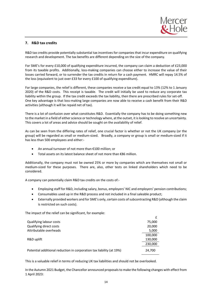# **7. R&D tax credits**

R&D tax credits provide potentially substantial tax incentives for companies that incur expenditure on qualifying research and development. The tax benefits are different depending on the size of the company.

For SME's for every £10,000 of qualifying expenditure incurred, the company can claim a deduction of £23,000 from its taxable profits. Additionally, loss-making companies can choose either to increase the value of their losses carried forward, or to surrender the tax credits in return for a cash payment. HMRC will repay 14.5% of the loss (equivalent to just over £33 for every £100 of qualifying expenditure).

For large companies, the relief is different, these companies receive a tax credit equal to 13% (12% to 1 January 2020) of the R&D costs. This receipt is taxable. The credit will initially be used to reduce any corporate tax liability within the group. If the tax credit exceeds the tax liability, then there are prescribed rules for set-off. One key advantage is that loss-making large companies are now able to receive a cash benefit from their R&D activities (although it will be repaid net of tax).

There is a lot of confusion over what constitutes R&D. Essentially the company has to be doing something new to the market in a field of either science or technology where, at the outset, it is looking to resolve an uncertainty. This covers a lot of areas and advice should be sought on the availability of relief.

As can be seen from the differing rates of relief, one crucial factor is whether or not the UK company (or the group) will be regarded as small or medium-sized. Broadly, a company or group is small or medium-sized if it has less than 500 employees and either:-

- An annual turnover of not more than €100 million; or
- Total assets on its latest balance sheet of not more than €86 million.

Additionally, the company must not be owned 25% or more by companies which are themselves not small or medium-sized for these purposes. There are, also, other tests on linked shareholders which need to be considered.

A company can potentially claim R&D tax credits on the costs of:-

- Employing staff for R&D, including salary, bonus, employers' NIC and employers' pension contributions;
- Consumables used up in the R&D process and not included in a final saleable product;
- Externally provided workers and for SME's only, certain costs of subcontracting R&D (although the claim is restricted on such costs).

The impact of the relief can be significant, for example:

|                                                                      | £       |
|----------------------------------------------------------------------|---------|
| Qualifying labour costs                                              | 75,000  |
| Qualifying direct costs                                              | 20,000  |
| Attributable overheads                                               | 5,000   |
|                                                                      | 100,000 |
| R&D uplift                                                           | 130,000 |
|                                                                      | 230,000 |
| Potential additional reduction in corporation tax liability (at 19%) | 24,700  |

This is a valuable relief in terms of reducing UK tax liabilities and should not be overlooked.

In the Autumn 2021 Budget, the Chancellor announced proposals to make the following changes with effect from 1 April 2023: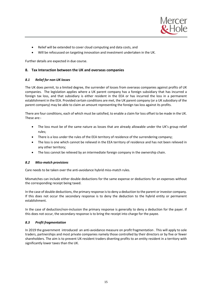

- Relief will be extended to cover cloud computing and data costs, and
- Will be refocussed on targeting innovation and investment undertaken in the UK.

Further details are expected in due course.

# **8. Tax Interaction between the UK and overseas companies**

# *8.1 Relief for non-UK losses*

The UK does permit, to a limited degree, the surrender of losses from overseas companies against profits of UK companies. The legislation applies where a UK parent company has a foreign subsidiary that has incurred a foreign tax loss, and that subsidiary is either resident in the EEA or has incurred the loss in a permanent establishment in the EEA. Provided certain conditions are met, the UK parent company (or a UK subsidiary of the parent company) may be able to claim an amount representing the foreign tax loss against its profits.

There are four conditions, each of which must be satisfied, to enable a claim for loss offset to be made in the UK. These are:-

- The loss must be of the same nature as losses that are already allowable under the UK's group relief rules;
- There is a loss under the rules of the EEA territory of residence of the surrendering company;
- The loss is one which cannot be relieved in the EEA territory of residence and has not been relieved in any other territory;
- The loss cannot be relieved by an intermediate foreign company in the ownership chain.

# *8.2 Miss-match provisions*

Care needs to be taken over the anti-avoidance hybrid miss-match rules.

Mismatches can include either double deductions for the same expense or deductions for an expenses without the corresponding receipt being taxed.

In the case of double deductions, the primary response is to deny a deduction to the parent or investor company. If this does not occur the secondary response is to deny the deduction to the hybrid entity or permanent establishment.

In the case of deduction/non-inclusion the primary response is generally to deny a deduction for the payer. If this does not occur, the secondary response is to bring the receipt into charge for the payee.

# *8.3 Profit fragmentation*

In 2019 the government introduced an anti-avoidance measure on profit fragmentation . This will apply to sole traders, partnerships and most private companies namely those controlled by their directors or by five or fewer shareholders. The aim is to prevent UK-resident traders diverting profits to an entity resident in a territory with significantly lower taxes than the UK.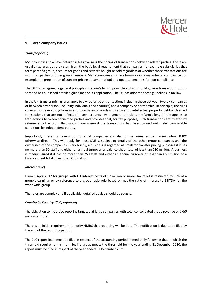

# **9. Large company issues**

# *Transfer pricing*

Most countries now have detailed rules governing the pricing of transactions between related parties. These are usually tax rules but they stem from the basic legal requirement that companies, for example subsidiaries that form part of a group, account for goods and services bought or sold regardless of whether those transactions are with third parties or other group members. Many countries also have formal or informal rules on compliance (for example the preparation of transfer pricing documentation) and operate penalties for non-compliance.

The OECD has agreed a general principle - the arm's length principle - which should govern transactions of this sort and has published detailed guidelines on its application. The UK has adopted these guidelines in tax law.

In the UK, transfer pricing rules apply to a wide range of transactions including those between two UK companies or between any person (including individuals and charities) and a company or partnership. In principle, the rules cover almost everything from sales or purchases of goods and services, to intellectual property, debt or deemed transactions that are not reflected in any accounts. As a general principle, the 'arm's length' rule applies to transactions between connected parties and provides that, for tax purposes, such transactions are treated by reference to the profit that would have arisen if the transactions had been carried out under comparable conditions by independent parties.

Importantly, there is an exemption for small companies and also for medium-sized companies unless HMRC otherwise direct. This will apply for most SME's, subject to details of the other group companies and the ownership of the companies. Very briefly, a business is regarded as small for transfer pricing purposes if it has no more than 50 staff and either an annual turnover or balance sheet total of less than €10 million. A business is medium-sized if it has no more than 250 staff and either an annual turnover of less than €50 million or a balance sheet total of less than €43 million.

# *Interest relief*

From 1 April 2017 for groups with UK interest costs of £2 million or more, tax relief is restricted to 30% of a group's earnings or by reference to a group ratio rule based on net the ratio of interest to EBITDA for the worldwide group.

The rules are complex and if applicable, detailed advice should be sought.

# *Country by Country (CbC) reporting*

The obligation to file a CbC report is targeted at large companies with total consolidated group revenue of €750 million or more.

There is an initial requirement to notify HMRC that reporting will be due. The notification is due to be filed by the end of the reporting period.

The CbC report itself must be filed in respect of the accounting period immediately following that in which the threshold requirement is met. So, if a group meets the threshold for the year ending 31 December 2020, the report must be filed in respect of the year ended 31 December 2021.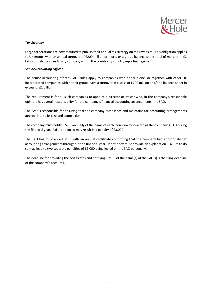

# *Tax Strategy*

Large corporations are now required to publish their annual tax strategy on their website. This obligation applies to UK groups with an annual turnover of £200 million or more, or a group balance sheet total of more than £2 billion. It also applies to any company within the country by country reporting regime.

# *Senior Accounting Officer*

The senior accounting officer (SAO) rules apply to companies who either alone, or together with other UK incorporated companies within their group, have a turnover in excess of £200 million and/or a balance sheet in excess of £2 billion.

The requirement is for all such companies to appoint a director or officer who, in the company's reasonable opinion, has overall responsibility for the company's financial accounting arrangements, the SAO.

The SAO is responsible for ensuring that the company establishes and maintains tax accounting arrangements appropriate to its size and complexity.

The company must notify HMRC annually of the name of each individual who acted as the company's SAO during the financial year. Failure to do so may result in a penalty of £3,000.

The SAO has to provide HMRC with an annual certificate confirming that the company had appropriate tax accounting arrangements throughout the financial year. If not, they must provide an explanation. Failure to do so may lead to two separate penalties of £5,000 being levied on the SAO personally.

The deadline for providing the certificates and notifying HMRC of the name(s) of the SAO(s) is the filing deadline of the company's accounts.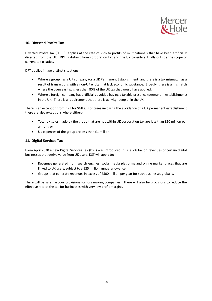

# **10. Diverted Profits Tax**

Diverted Profits Tax ("DPT") applies at the rate of 25% to profits of multinationals that have been artificially diverted from the UK. DPT is distinct from corporation tax and the UK considers it falls outside the scope of current tax treaties.

DPT applies in two distinct situations:-

- Where a group has a UK company (or a UK Permanent Establishment) and there is a tax mismatch as a result of transactions with a non-UK entity that lack economic substance. Broadly, there is a mismatch where the overseas tax is less than 80% of the UK tax that would have applied;
- Where a foreign company has artificially avoided having a taxable presence (permanent establishment) in the UK. There is a requirement that there is activity (people) in the UK.

There is an exception from DPT for SMEs. For cases involving the avoidance of a UK permanent establishment there are also exceptions where either:-

- Total UK sales made by the group that are not within UK corporation tax are less than £10 million per annum; or
- UK expenses of the group are less than £1 million.

# **11. Digital Services Tax**

From April 2020 a new Digital Services Tax (DST) was introduced. It is a 2% tax on revenues of certain digital businesses that derive value from UK users. DST will apply to:-

- Revenues generated from search engines, social media platforms and online market places that are linked to UK users, subject to a £25 million annual allowance.
- Groups that generate revenues in excess of £500 million per year for such businesses globally.

There will be safe harbour provisions for loss making companies. There will also be provisions to reduce the effective rate of the tax for businesses with very low profit margins.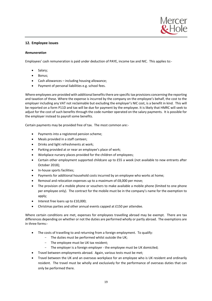

# **12. Employee issues**

# *Remuneration*

Employees' cash remuneration is paid under deduction of PAYE, income tax and NIC. This applies to:-

- Salary;
- Bonus;
- Cash allowances including housing allowance;
- Payment of personal liabilities e.g. school fees.

Where employees are provided with additional benefits there are specific tax provisions concerning the reporting and taxation of these. Where the expense is incurred by the company on the employee's behalf, the cost to the employer including any VAT not reclaimable but excluding the employer's NIC cost, is a benefit in kind. This will be reported on a form P11D and tax will be due for payment by the employee. It is likely that HMRC will seek to adjust for the cost of such benefits through the code number operated on the salary payments. It is possible for the employer instead to payroll some benefits.

Certain payments may be provided free of tax. The most common are:-

- Payments into a registered pension scheme;
- Meals provided in a staff canteen;
- Drinks and light refreshments at work;
- Parking provided at or near an employee's place of work;
- Workplace nursery places provided for the children of employees;
- Certain other employment supported childcare up to £55 a week (not available to new entrants after October 2018);
- In-house sports facilities;
- Payments for additional household costs incurred by an employee who works at home;
- Removal and relocation expenses up to a maximum of £8,000 per move;
- The provision of a mobile phone or vouchers to make available a mobile phone (limited to one phone per employee only). The contract for the mobile must be in the company's name for the exemption to apply;
- Interest free loans up to £10,000;
- Christmas parties and other annual events capped at £150 per attendee.

Where certain conditions are met, expenses for employees travelling abroad may be exempt. There are tax differences depending on whether or not the duties are performed wholly or partly abroad. The exemptions are in three forms:-

- The costs of travelling to and returning from a foreign employment. To qualify:
	- The duties must be performed whilst outside the UK;
	- The employee must be UK tax resident;
	- The employer is a foreign employer the employee must be UK domiciled;
- Travel between employments abroad. Again, various tests must be met;
- Travel between the UK and an overseas workplace for an employee who is UK resident and ordinarily resident. The travel must be wholly and exclusively for the performance of overseas duties that can only be performed there.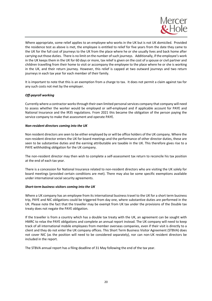

Where appropriate, some relief applies to an employee who works in the UK but is not UK domiciled. Provided the residence test as above is met, the employee is entitled to relief for five years from the date they came to the UK for the full cost of journeys to the UK from the place where he or she usually lives and back home after carrying out those duties. There is no limit on the number of such journeys. Additionally, if the employee's work in the UK keeps them in the UK for 60 days or more, tax relief is given on the cost of a spouse or civil partner and children travelling from their home to visit or accompany the employee to the place where he or she is working in the UK, and their return journey. However, this relief is capped at two outward journeys and two return journeys in each tax year for each member of their family.

It is important to note that this is an exemption from a charge to tax. It does not permit a claim against tax for any such costs not met by the employer.

# *Off-payroll working*

Currently where a contractor works through their own limited personal services company that company will need to assess whether the worker would be employed or self-employed and if applicable account for PAYE and National Insurance and the IR35 regulations. From 2021 this became the obligation of the person paying the service company to make that assessment and operate PAYE.

## *Non-resident directors coming into the UK*

Non resident directors are seen to be either employed by or will be office holders of the UK company. Where the non-resident director enters the UK for board meetings and the performance of other director duties, these are seen to be substantive duties and the earning attributable are taxable in the UK. This therefore gives rise to a PAYE withholding obligation for the UK company.

The non-resident director may then wish to complete a self-assessment tax return to reconcile his tax position at the end of each tax year.

There is a concession for National Insurance related to non-resident directors who are visiting the UK solely for board meetings (provided certain conditions are met). There may also be some specific exemptions available under international social security agreements.

# *Short-term business visitors coming into the UK*

Where a UK company has an employee from its international business travel to the UK for a short term business trip, PAYE and NIC obligations could be triggered from day one, where substantive duties are performed in the UK. Please note the fact that the traveller may be exempt from UK tax under the provisions of the Double tax treaty does not negate the PAYE obligation.

If the traveller is from a country which has a double tax treaty with the UK, an agreement can be sought with HMRC to relax the PAYE obligations and complete an annual report instead. The UK company will need to keep track of all international mobile employees from member overseas companies, even if their visit is directly to a client and they do not enter the UK company offices. This Short Term Business Visitor Agreement (STBVA) does not cover NIC (as the position will need to be considered separately), nor can non-UK resident directors be included in the report.

The STBVA annual report has a filing deadline of 31 May following the end of the tax year.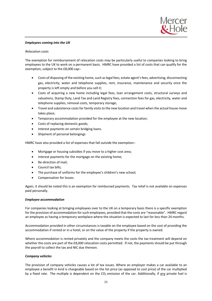

## *Employees coming into the UK*

## *Relocation costs*

The exemption for reimbursement of relocation costs may be particularly useful to companies looking to bring employees to the UK to work on a permanent basis. HMRC have provided a list of costs that can qualify for the exemption, subject to the £8,000 cap:-

- Costs of disposing of the existing home, such as legal fees, estate agent's fees, advertising, disconnecting gas, electricity, water and telephone supplies, rent, insurance, maintenance and security once the property is left empty and before you sell it;
- Costs of acquiring a new home including legal fees, loan arrangement costs, structural surveys and valuations, Stamp Duty, Land Tax and Land Registry fees, connection fees for gas, electricity, water and telephone supplies, removal costs, temporary storage;
- Travel and subsistence costs for family visits to the new location and travel when the actual house move takes place;
- Temporary accommodation provided for the employee at the new location;
- Costs of replacing domestic goods;
- Interest payments on certain bridging loans.
- Shipment of personal belongings

HMRC have also provided a list of expenses that fall outside the exemption:-

- Mortgage or housing subsidies if you move to a higher cost area;
- Interest payments for the mortgage on the existing home;
- Re-direction of mail;
- Council tax bills;
- The purchase of uniforms for the employee's children's new school;
- Compensation for losses.

Again, it should be noted this is an exemption for reimbursed payments. Tax relief is not available on expenses paid personally.

## *Employee accommodation*

For companies looking at bringing employees over to the UK on a temporary basis there is a specific exemption for the provision of accommodation for such employees, provided that the costs are "reasonable". HMRC regard an employee as having a temporary workplace where the situation is expected to last for less than 24 months.

Accommodation provided in other circumstances is taxable on the employee based on the cost of providing the accommodation if rented or in a hotel, or on the value of the property if the property is owned.

Where accommodation is rented privately and the company meets the costs the tax treatment will depend on whether the costs are part of the £8,000 relocation costs permitted. If not, the payments should be put through the payroll to collect the tax and NIC due thereon.

# *Company vehicles*

The provision of company vehicles causes a lot of tax issues. Where an employer makes a car available to an employee a benefit in kind is chargeable based on the list price (as opposed to cost price) of the car multiplied by a fixed rate. The multiple is dependent on the  $CO<sub>2</sub>$  emission of the car. Additionally, if any private fuel is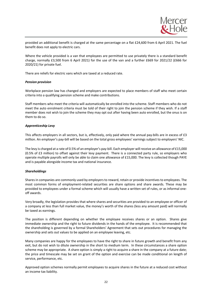

provided an additional benefit is charged at the same percentage on a flat £24,600 from 6 April 2021. The fuel benefit does not apply to electric cars.

Where the vehicle provided is a van that employees are permitted to use privately there is a standard benefit charge, normally £3,500 from 6 April 2021) for the use of the van and a further £669 for 2021/22 (£666 for 2020/21) for private fuel.

There are reliefs for electric vans which are taxed at a reduced rate.

## *Pension provision*

Workplace pension law has changed and employers are expected to place members of staff who meet certain criteria into a qualifying pension scheme and make contributions.

Staff members who meet the criteria will automatically be enrolled into the scheme. Staff members who do not meet the auto enrolment criteria must be told of their right to join the pension scheme if they wish. If a staff member does not wish to join the scheme they may opt out after having been auto enrolled, but the onus is on them to do so.

## *Apprenticeship Levy*

This affects employers in all sectors, but is, effectively, only paid where the annual pay-bills are in excess of £3 million. An employer's pay-bill will be based on the total gross employees' earnings subject to employers' NIC.

The levy is charged at a rate of 0.5% of an employer's pay-bill. Each employer will receive an allowance of £15,000 (0.5% of £3 million) to offset against their levy payment. There is a connected party rule, so employers who operate multiple payrolls will only be able to claim one allowance of £15,000. The levy is collected though PAYE and is payable alongside income tax and national insurance.

# *Shareholdings*

Shares in companies are commonly used by employers to reward, retain or provide incentives to employees. The most common forms of employment-related securities are share options and share awards. These may be provided to employees under a formal scheme which will usually have a written set of rules, or as informal oneoff awards.

Very broadly, the legislation provides that where shares and securities are provided to an employee or officer of a company at less than full market value, the money's worth of the shares (less any amount paid) will normally be taxed as earnings.

The position is different depending on whether the employee receives shares or an option. Shares give immediate ownership and the right to future dividends in the hands of the employee. It is recommended that the shareholding is governed by a formal Shareholders' Agreement that sets out procedures for managing the ownership and sets out values to be applied on an employee leaving, etc.

Many companies are happy for the employees to have the right to share in future growth and benefit from any exit, but do not wish to dilute ownership in the short to medium term. In these circumstances a share option scheme may be appropriate. A share option is simply a right to acquire a share in the company at a future date; the price and timescale may be set on grant of the option and exercise can be made conditional on length of service, performance, etc.

Approved option schemes normally permit employees to acquire shares in the future at a reduced cost without an income tax liability.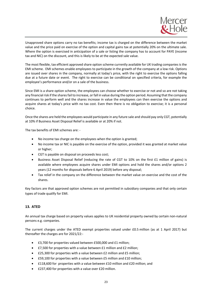

Unapproved share options carry no tax benefits; income tax is charged on the difference between the market value and the price paid on exercise of the option and capital gains tax at potentially 20% on the ultimate sale. Where the option is exercised in anticipation of a sale or listing the company has to account for PAYE (income tax and NIC) on the discount, and this is likely to be at the expected sale value.

The most flexible, tax efficient approved share option scheme currently available for UK trading companies is the EMI scheme. EMI schemes enable employees to participate in the growth of the company at a low risk. Options are issued over shares in the company, normally at today's price, with the right to exercise the options falling due at a future date or event. The right to exercise can be conditional on specified criteria, for example the employee's performance and/or on a sale of the business.

Since EMI is a share option scheme, the employees can choose whether to exercise or not and so are not taking any financial risk if the shares fail to increase, or fall in value during the option period. Assuming that the company continues to perform well and the shares increase in value the employees can then exercise the options and acquire shares at today's price with no tax cost. Even then there is no obligation to exercise; it is a personal choice.

Once the shares are held the employees would participate in any future sale and should pay only CGT, potentially at 10% if Business Asset Disposal Relief is available or at 20% if not.

The tax benefits of EMI schemes are: -

- No income tax charge on the employees when the option is granted;
- No income tax or NIC is payable on the exercise of the option, provided it was granted at market value or higher;
- CGT is payable on disposal on proceeds less cost;
- Business Asset Disposal Relief (reducing the rate of CGT to 10% on the first £1 million of gains) is available where employees acquire shares under EMI options and hold the shares and/or options 2 years (12 months for disposals before 6 April 2019) before any disposal;
- Tax relief in the company on the difference between the market value on exercise and the cost of the shares.

Key factors are that approved option schemes are not permitted in subsidiary companies and that only certain types of trade qualify for EMI.

# **13. ATED**

An annual tax charge based on property values applies to UK residential property owned by certain non-natural persons e.g. companies.

The current charges under the ATED exempt properties valued under £0.5 million (as at 1 April 2017) but thereafter the charges are for 2021/22:-

- £3,700 for properties valued between £500,000 and £1 million;
- £7,500 for properties with a value between £1 million and £2 million;
- £25,300 for properties with a value between £2 million and £5 million;
- £59,100 for properties with a value between £5 million and £10 million;
- £118,600 for properties with a value between £10 million and £20 million; and
- £237,400 for properties with a value over £20 million.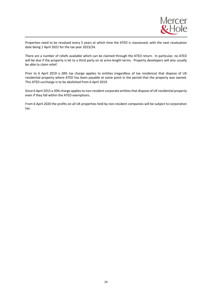

Properties need to be revalued every 5 years at which time the ATED is reassessed, with the next revaluation date being 1 April 2022 for the tax year 2023/24.

There are a number of reliefs available which can be claimed through the ATED return. In particular, no ATED will be due if the property is let to a third party on at arms-length terms. Property developers will also usually be able to claim relief.

Prior to 6 April 2019 a 28% tax charge applies to entities (regardless of tax residence) that dispose of UK residential property where ATED has been payable at some point in the period that the property was owned. This ATED surcharge is to be abolished from 6 April 2019.

Since 6 April 2015 a 20% charge applies to non-resident corporate entities that dispose of UK residential property even if they fall within the ATED exemptions.

From 6 April 2020 the profits on all UK properties held by non-resident companies will be subject to corporation tax.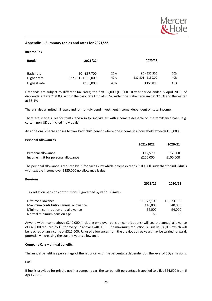

# **Appendix I - Summary tables and rates for 2021/22**

#### **Income Tax**

| <b>Bands</b> | 2021/22            | 2020/21 |                   |     |
|--------------|--------------------|---------|-------------------|-----|
| Basic rate   | £0 - £37,700       | 20%     | £0 - £37,500      | 20% |
| Higher rate  | £37,701 - £150,000 | 40%     | £37,501 - £150,00 | 40% |
| Highest rate | £150,000           | 45%     | £150,000          | 45% |

Dividends are subject to different tax rates; the first £2,000 (£5,000 10 year-period ended 5 April 2018) of dividends is "taxed" at 0%, within the basic rate limit at 7.5%, within the higher rate limit at 32.5% and thereafter at 38.1%.

There is also a limited nil rate band for non-dividend investment income, dependent on total income.

There are special rules for trusts, and also for individuals with income assessable on the remittance basis (e.g. certain non-UK domiciled individuals).

An additional charge applies to claw back child benefit where one income in a household exceeds £50,000.

#### **Personal Allowances**

|                                     | 2021/2022 | 2020/21  |
|-------------------------------------|-----------|----------|
| Personal allowance                  | £12.570   | £12.500  |
| Income limit for personal allowance | £100.000  | £100.000 |

The personal allowance is reduced by £1 for each £2 by which income exceeds £100,000, such that for individuals with taxable income over £125,000 no allowance is due.

## **Pensions**

|                                                                     | 2021/22    | 2020/21    |
|---------------------------------------------------------------------|------------|------------|
| Tax relief on pension contributions is governed by various limits:- |            |            |
| Lifetime allowance                                                  | £1,073,100 | £1,073,100 |
| Maximum contribution annual allowance                               | £40.000    | £40,000    |
| Minimum contribution and allowance                                  | £4.000     | £4.000     |
| Normal minimum pension age                                          | 55         | 55         |

Anyone with income above £240,000 (includng employer pension contributions) will see the annual allowance of £40,000 reduced by £1 for every £2 above £240,000. The maximum reduction is usually £36,000 which will be reached on an income of £312,000. Unused allowances from the previous three years may be carried forward, potentially increasing the current year's allowance.

## **Company Cars – annual benefits**

The annual benefit is a percentage of the list price, with the percentage dependent on the level of  $CO<sub>2</sub>$  emissions.

## **Fuel**

If fuel is provided for private use in a company car, the car benefit percentage is applied to a flat £24,600 from 6 April 2021.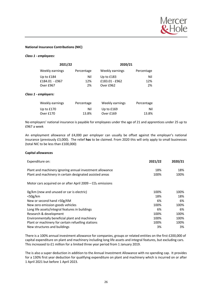

## **National Insurance Contributions (NIC)**

## *Class 1 - employees:*

| 2021/22         |            | 2020/21         |            |  |
|-----------------|------------|-----------------|------------|--|
| Weekly earnings | Percentage | Weekly earnings | Percentage |  |
| Up to £184      | Nil        | Up to $£183$    | Nil        |  |
| £184.01 - £967  | 12%        | £183.01 - £962  | 12%        |  |
| Over £967       | 2%         | Over £962       | 2%         |  |

## *Class 1 - employers:*

| Weekly earnings | Percentage | Weekly earnings | Percentage |
|-----------------|------------|-----------------|------------|
| Up to £170      | Nil        | Up to $£169$    | Nil        |
| Over £170       | 13.8%      | Over £169       | 13.8%      |

No employers' national insurance is payable for employees under the age of 21 and apprentices under 25 up to £967 a week

An employment allowance of £4,000 per employer can usually be offset against the employer's national insurance (previously £3,000). The relief **has** to be claimed. From 2020 this will only apply to small businesses (total NIC to be less than £100,000)

## **Capital allowances**

| Expenditure on:                                              | 2021/22 | 2020/21 |
|--------------------------------------------------------------|---------|---------|
| Plant and machinery ignoring annual investment allowance     | 18%     | 18%     |
| Plant and machinery in certain designated assisted areas     | 100%    | 100%    |
| Motor cars acquired on or after April $2009 - CO2$ emissions |         |         |
| Og/km (new and unused or car is electric)                    | 100%    | 100%    |
| $<$ 50g/km                                                   | 18%     | 18%     |
| New or second hand >50g/KM                                   | 6%      | 6%      |
| New zero emission goods vehicles                             | 100%    | 100%    |
| Long life assets/integral features in buildings              | 6%      | 6%      |
| Research & development                                       | 100%    | 100%    |
| Environmentally beneficial plant and machinery               | 100%    | 100%    |
| Plant or machinery for certain refuelling stations           | 100%    | 100%    |
| New structures and buildings                                 | 3%      | 3%      |

There is a 100% annual investment allowance for companies, groups or related entities on the first £200,000 of capital expenditure on plant and machinery including long life assets and integral features, but excluding cars. This increased to £1 million for a limited three year period from 1 January 2019.

The is also a super deduction in addition to the Annual Investment Allowance with no spending cap. It provides for a 130% first year deduction for qualifying expenditure on plant and machinery which is incurred on or after 1 April 2021 but before 1 April 2023.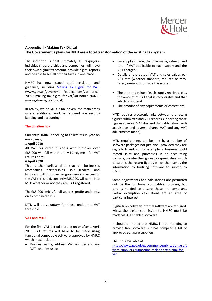

# **Appendix II - Making Tax Digital The Government's plans for MTD are a total transformation of the existing tax system.**

The intention is that ultimately **all** taxpayers; individuals, partnerships and companies, will have their own digital tax account, provide digital reports and be able to see all of their taxes in one place.

HMRC has now issued draft legislation and guidance, including Making Tax Digital for VAT. (www.gov.uk/government/publications/vat-notice-70022-making-tax-digital-for-vat/vat-notice-70022 making-tax-digital-for-vat)

In reality, whilst MTD is tax driven, the main areas where additional work is required are recordkeeping and accounting.

# **The timeline is: -**

Currently HMRC is seeking to collect tax in year on employees;

# **1 April 2019**

All VAT registered business with turnover over £85,000 will fall within the MTD regime - for VAT returns only;

# **6 April 2020**

This is the earliest date that **all** businesses (companies, partnerships, sole traders) and landlords with turnover or gross rents in excess of the VAT threshold, currently £85,000, will come into MTD whether or not they are VAT registered.

The £85,000 limit is for all sources, profits and rents, on a combined basis.

MTD will be voluntary for those under the VAT threshold.

# **VAT and MTD**

For the first VAT period starting on or after 1 April 2019 VAT returns will have to be made using functional compatible software approved by HMRC which must include:-

• Business name, address, VAT number and any VAT schemes used;

- For supplies made, the time made, value of and rate of VAT applicable to each supply and the VAT charged;
- Details of the output VAT and sales values per VAT rate (whether standard, reduced or zerorated, exempt or outside the scope).
- The time and value of each supply received, plus the amount of VAT that is recoverable and that which is not; and
- The amount of any adjustments or corrections;

MTD requires electronic links between the return figures submitted and VAT records supporting those figures covering VAT due and claimable (along with acquisition and reverse charge VAT and any VAT adjustments made).

MTD requirements can be met by a number of software packages not just one - provided they are digitally linked, so, for example, a business could record sales and purchases in an accounting package, transfer the figures to a spreadsheet which calculates the return figures which then sends the information to bridging software to submit to HMRC.

Some adjustments and calculations are permitted outside the functional compatible software, but care is needed to ensure these are compliant. Partial exemption calculations are an area of particular interest.

Digital links between internal software are required, whilst the digital submission to HMRC must be made via API enabled software.

It should be noted that HMRC is not intending to provide free software but has compiled a list of approved software suppliers.

# The list is available at

https://www.gov.uk/government/publications/soft ware-suppliers-supporting-making-tax-digital-forvat.